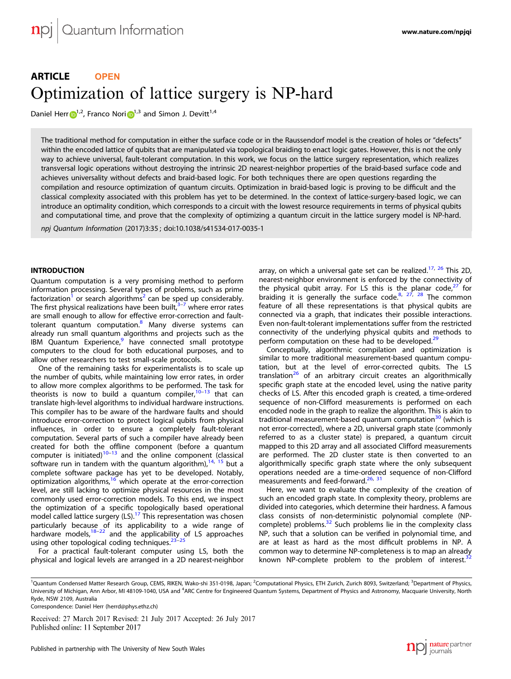# ARTICLE **OPEN** Optimization of lattice surgery is NP-hard

Dan[i](http://orcid.org/0000-0003-3682-7432)el Herr  $\mathbf{D}^{1,2}$  $\mathbf{D}^{1,2}$  $\mathbf{D}^{1,2}$ , Franco Nori  $\mathbf{D}^{1,3}$  and Simon J. Devitt<sup>1,4</sup>

The traditional method for computation in either the surface code or in the Raussendorf model is the creation of holes or "defects" within the encoded lattice of qubits that are manipulated via topological braiding to enact logic gates. However, this is not the only way to achieve universal, fault-tolerant computation. In this work, we focus on the lattice surgery representation, which realizes transversal logic operations without destroying the intrinsic 2D nearest-neighbor properties of the braid-based surface code and achieves universality without defects and braid-based logic. For both techniques there are open questions regarding the compilation and resource optimization of quantum circuits. Optimization in braid-based logic is proving to be difficult and the classical complexity associated with this problem has yet to be determined. In the context of lattice-surgery-based logic, we can introduce an optimality condition, which corresponds to a circuit with the lowest resource requirements in terms of physical qubits and computational time, and prove that the complexity of optimizing a quantum circuit in the lattice surgery model is NP-hard.

npj Quantum Information (2017) 3:35 ; doi:10.1038/s41[534-017-0035-1](http://dx.doi.org/10.1038/s41534-017-0035-1)

Quantum computation is a very promising method to perform information processing. Several types of problems, such as prime factorization<sup>[1](#page-4-0)</sup> or search algorithms<sup>[2](#page-4-0)</sup> can be sped up considerably. The first physical realizations have been built,  $3-7$  $3-7$  $3-7$  where error rates are small enough to allow for effective error-correction and faulttolerant quantum computation. $8$  Many diverse systems can already run small quantum algorithms and projects such as the IBM Quantum Experience, $9$  have connected small prototype computers to the cloud for both educational purposes, and to allow other researchers to test small-scale protocols.

One of the remaining tasks for experimentalists is to scale up the number of qubits, while maintaining low error rates, in order to allow more complex algorithms to be performed. The task for theorists is now to build a quantum compiler,[10](#page-4-0)–[13](#page-4-0) that can translate high-level algorithms to individual hardware instructions. This compiler has to be aware of the hardware faults and should introduce error-correction to protect logical qubits from physical influences, in order to ensure a completely fault-tolerant computation. Several parts of such a compiler have already been created for both the offline component (before a quantum computer is initiated)<sup>[10](#page-4-0)–[13](#page-4-0)</sup> and the online component (classical software run in tandem with the quantum algorithm),  $14$ ,  $15$  but a complete software package has yet to be developed. Notably, optimization algorithms,<sup>[16](#page-4-0)</sup> which operate at the error-correction level, are still lacking to optimize physical resources in the most commonly used error-correction models. To this end, we inspect the optimization of a specific topologically based operational model called lattice surgery (LS).<sup>[17](#page-4-0)</sup> This representation was chosen particularly because of its applicability to a wide range of particularly because of the applicability of LS approaches<br>hardware models,  $18-22$  $18-22$  $18-22$  and the applicability of LS approaches using other topological coding techniques.<sup>[23](#page-4-0)</sup>

For a practical fault-tolerant computer using LS, both the physical and logical levels are arranged in a 2D nearest-neighbor array, on which a universal gate set can be realized.<sup>[17,](#page-4-0) [26](#page-4-0)</sup> This 2D, nearest-neighbor environment is enforced by the connectivity of the physical qubit array. For LS this is the planar code, $27$  for braiding it is generally the surface code.<sup>[8,](#page-4-0) [27,](#page-4-0) [28](#page-4-0)</sup> The common feature of all these representations is that physical qubits are connected via a graph, that indicates their possible interactions. Even non-fault-tolerant implementations suffer from the restricted connectivity of the underlying physical qubits and methods to perform computation on these had to be developed.<sup>[29](#page-4-0)</sup>

Conceptually, algorithmic compilation and optimization is similar to more traditional measurement-based quantum computation, but at the level of error-corrected qubits. The LS translation $^{26}$  $^{26}$  $^{26}$  of an arbitrary circuit creates an algorithmically specific graph state at the encoded level, using the native parity checks of LS. After this encoded graph is created, a time-ordered sequence of non-Clifford measurements is performed on each encoded node in the graph to realize the algorithm. This is akin to traditional measurement-based quantum computation $30$  (which is not error-corrected), where a 2D, universal graph state (commonly referred to as a cluster state) is prepared, a quantum circuit mapped to this 2D array and all associated Clifford measurements are performed. The 2D cluster state is then converted to an algorithmically specific graph state where the only subsequent operations needed are a time-ordered sequence of non-Clifford measurements and feed-forward.<sup>[26,](#page-4-0) [31](#page-4-0)</sup>

Here, we want to evaluate the complexity of the creation of such an encoded graph state. In complexity theory, problems are divided into categories, which determine their hardness. A famous class consists of non-deterministic polynomial complete (NP-complete) problems.<sup>[32](#page-4-0)</sup> Such problems lie in the complexity class NP, such that a solution can be verified in polynomial time, and are at least as hard as the most difficult problems in NP. A common way to determine NP-completeness is to map an already known NP-complete problem to the problem of interest. $32$ 

Correspondence: Daniel Herr (herrd@phys.ethz.ch)

Received: 27 March 2017 Revised: 21 July 2017 Accepted: 26 July 2017

<sup>&</sup>lt;sup>1</sup>Quantum Condensed Matter Research Group, CEMS, RIKEN, Wako-shi 351-0198, Japan; <sup>2</sup>Computational Physics, ETH Zurich, Zurich 8093, Switzerland; <sup>3</sup>Department of Physics, University of Michigan, Ann Arbor, MI 48109-1040, USA and <sup>4</sup>ARC Centre for Engineered Quantum Systems, Department of Physics and Astronomy, Macquarie University, North Ryde, NSW 2109, Australia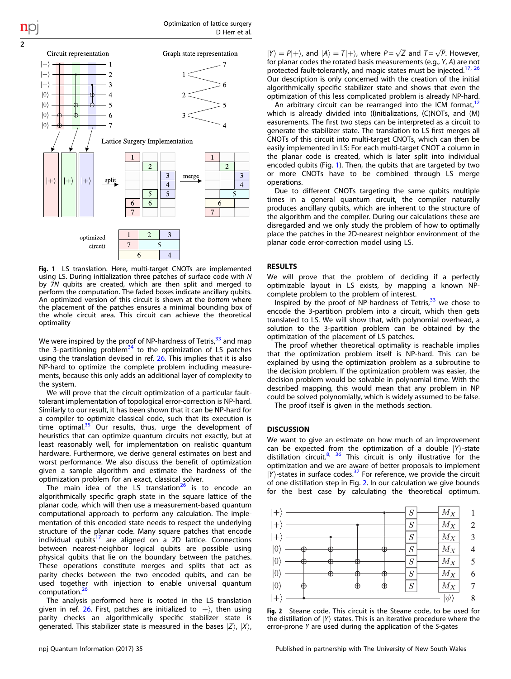<span id="page-1-0"></span>

Fig. 1 LS translation. Here, multi-target CNOTs are implemented using LS. During initialization three patches of surface code with N by 7N qubits are created, which are then split and merged to perform the computation. The faded boxes indicate ancillary qubits. An optimized version of this circuit is shown at the bottom where the placement of the patches ensures a minimal bounding box of the whole circuit area. This circuit can achieve the theoretical optimality

We were inspired by the proof of NP-hardness of Tetris, $33$  and map the 3-partitioning problem $34$  to the optimization of LS patches using the translation devised in ref. [26](#page-4-0). This implies that it is also NP-hard to optimize the complete problem including measurements, because this only adds an additional layer of complexity to the system.

We will prove that the circuit optimization of a particular faulttolerant implementation of topological error-correction is NP-hard. Similarly to our result, it has been shown that it can be NP-hard for a compiler to optimize classical code, such that its execution is time optimal. $35$  Our results, thus, urge the development of heuristics that can optimize quantum circuits not exactly, but at least reasonably well, for implementation on realistic quantum hardware. Furthermore, we derive general estimates on best and worst performance. We also discuss the benefit of optimization given a sample algorithm and estimate the hardness of the optimization problem for an exact, classical solver.

The main idea of the LS translation $26$  is to encode an algorithmically specific graph state in the square lattice of the planar code, which will then use a measurement-based quantum computational approach to perform any calculation. The implementation of this encoded state needs to respect the underlying structure of the planar code. Many square patches that encode individual qubits $17$  are aligned on a 2D lattice. Connections between nearest-neighbor logical qubits are possible using physical qubits that lie on the boundary between the patches. These operations constitute merges and splits that act as parity checks between the two encoded qubits, and can be used together with injection to enable universal quantum computation.[26](#page-4-0)

The analysis performed here is rooted in the LS translation given in ref. [26.](#page-4-0) First, patches are initialized to  $|+\rangle$ , then using parity checks an algorithmically specific stabilizer state is generated. This stabilizer state is measured in the bases  $|Z\rangle$ ,  $|X\rangle$ ,

 $|Y\rangle = P|+\rangle$ , and  $|A\rangle = T|+\rangle$ , where  $P = \sqrt{Z}$  and  $T = \sqrt{P}$ . However, for planar codes the rotated basis measurements (e.g., Y, A) are not protected fault-tolerantly, and magic states must be injected.<sup>[17,](#page-4-0) [26](#page-4-0)</sup> Our description is only concerned with the creation of the initial algorithmically specific stabilizer state and shows that even the optimization of this less complicated problem is already NP-hard.

An arbitrary circuit can be rearranged into the ICM format,  $12$ which is already divided into (I)nitializations, (C)NOTs, and (M) easurements. The first two steps can be interpreted as a circuit to generate the stabilizer state. The translation to LS first merges all CNOTs of this circuit into multi-target CNOTs, which can then be easily implemented in LS: For each multi-target CNOT a column in the planar code is created, which is later split into individual encoded qubits (Fig. 1). Then, the qubits that are targeted by two or more CNOTs have to be combined through LS merge operations.

Due to different CNOTs targeting the same qubits multiple times in a general quantum circuit, the compiler naturally produces ancillary qubits, which are inherent to the structure of the algorithm and the compiler. During our calculations these are disregarded and we only study the problem of how to optimally place the patches in the 2D-nearest neighbor environment of the planar code error-correction model using LS.

We will prove that the problem of deciding if a perfectly optimizable layout in LS exists, by mapping a known NPcomplete problem to the problem of interest.

Inspired by the proof of NP-hardness of Tetris, $33$  we chose to encode the 3-partition problem into a circuit, which then gets translated to LS. We will show that, with polynomial overhead, a solution to the 3-partition problem can be obtained by the optimization of the placement of LS patches.

The proof whether theoretical optimality is reachable implies that the optimization problem itself is NP-hard. This can be explained by using the optimization problem as a subroutine to the decision problem. If the optimization problem was easier, the decision problem would be solvable in polynomial time. With the described mapping, this would mean that any problem in NP could be solved polynomially, which is widely assumed to be false.

The proof itself is given in the methods section.

We want to give an estimate on how much of an improvement can be expected from the optimization of a double  $|Y\rangle$ -state distillation circuit.<sup>[8,](#page-4-0) [36](#page-4-0)</sup> This circuit is only illustrative for the optimization and we are aware of better proposals to implement  $|Y\rangle$ -states in surface codes.<sup>[37](#page-4-0)</sup> For reference, we provide the circuit of one distillation step in Fig. 2. In our calculation we give bounds for the best case by calculating the theoretical optimum.



Fig. 2 Steane code. This circuit is the Steane code, to be used for the distillation of  $|Y\rangle$  states. This is an iterative procedure where the error-prone Y are used during the application of the S-gates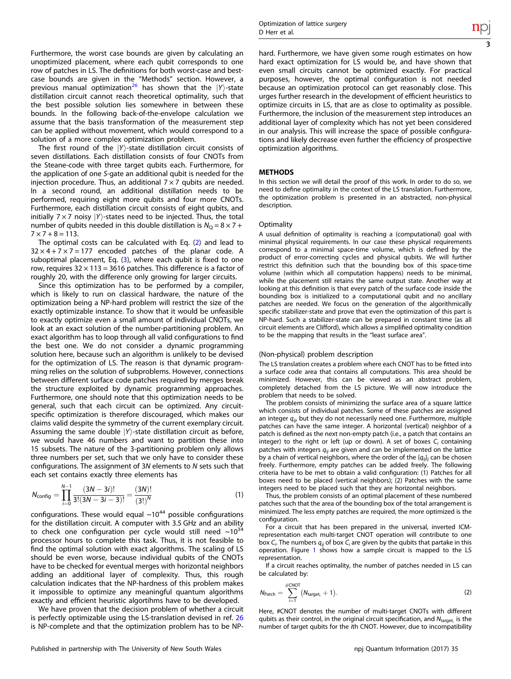Furthermore, the worst case bounds are given by calculating an unoptimized placement, where each qubit corresponds to one row of patches in LS. The definitions for both worst-case and bestcase bounds are given in the "Methods" section. However, a previous manual optimization<sup>[26](#page-4-0)</sup> has shown that the  $|Y\rangle$ -state distillation circuit cannot reach theoretical optimality, such that the best possible solution lies somewhere in between these bounds. In the following back-of-the-envelope calculation we assume that the basis transformation of the measurement step can be applied without movement, which would correspond to a solution of a more complex optimization problem.

The first round of the  $|Y\rangle$ -state distillation circuit consists of seven distillations. Each distillation consists of four CNOTs from the Steane-code with three target qubits each. Furthermore, for the application of one S-gate an additional qubit is needed for the injection procedure. Thus, an additional  $7 \times 7$  qubits are needed. In a second round, an additional distillation needs to be performed, requiring eight more qubits and four more CNOTs. Furthermore, each distillation circuit consists of eight qubits, and initially  $7 \times 7$  noisy  $|Y\rangle$ -states need to be injected. Thus, the total number of qubits needed in this double distillation is  $N<sub>O</sub> = 8 \times 7 +$  $7 \times 7 + 8 = 113.$ 

The optimal costs can be calculated with Eq. (2) and lead to  $32 \times 4 + 7 \times 7 = 177$  encoded patches of the planar code. A suboptimal placement, Eq.  $(3)$  $(3)$  $(3)$ , where each qubit is fixed to one row, requires  $32 \times 113 = 3616$  patches. This difference is a factor of roughly 20, with the difference only growing for larger circuits.

Since this optimization has to be performed by a compiler, which is likely to run on classical hardware, the nature of the optimization being a NP-hard problem will restrict the size of the exactly optimizable instance. To show that it would be unfeasible to exactly optimize even a small amount of individual CNOTs, we look at an exact solution of the number-partitioning problem. An exact algorithm has to loop through all valid configurations to find the best one. We do not consider a dynamic programming solution here, because such an algorithm is unlikely to be devised for the optimization of LS. The reason is that dynamic programming relies on the solution of subproblems. However, connections between different surface code patches required by merges break the structure exploited by dynamic programming approaches. Furthermore, one should note that this optimization needs to be general, such that each circuit can be optimized. Any circuitspecific optimization is therefore discouraged, which makes our claims valid despite the symmetry of the current exemplary circuit. Assuming the same double  $|Y\rangle$ -state distillation circuit as before, we would have 46 numbers and want to partition these into 15 subsets. The nature of the 3-partitioning problem only allows three numbers per set, such that we only have to consider these configurations. The assignment of 3N elements to N sets such that each set contains exactly three elements has

$$
N_{\text{config}} = \prod_{i=0}^{N-1} \frac{(3N-3i)!}{3!(3N-3i-3)!} = \frac{(3N)!}{(3!)^N}
$$
 (1)

configurations. These would equal  $~10^{44}$  possible configurations for the distillation circuit. A computer with 3.5 GHz and an ability to check one configuration per cycle would still need  $\sim 10^{34}$ processor hours to complete this task. Thus, it is not feasible to find the optimal solution with exact algorithms. The scaling of LS should be even worse, because individual qubits of the CNOTs have to be checked for eventual merges with horizontal neighbors adding an additional layer of complexity. Thus, this rough calculation indicates that the NP-hardness of this problem makes it impossible to optimize any meaningful quantum algorithms exactly and efficient heuristic algortihms have to be developed.

We have proven that the decision problem of whether a circuit is perfectly optimizable using the LS-translation devised in ref. [26](#page-4-0) is NP-complete and that the optimization problem has to be NP- hard. Furthermore, we have given some rough estimates on how hard exact optimization for LS would be, and have shown that even small circuits cannot be optimized exactly. For practical purposes, however, the optimal configuration is not needed because an optimization protocol can get reasonably close. This urges further research in the development of efficient heuristics to optimize circuits in LS, that are as close to optimality as possible. Furthermore, the inclusion of the measurement step introduces an additional layer of complexity which has not yet been considered in our analysis. This will increase the space of possible configurations and likely decrease even further the efficiency of prospective optimization algorithms.

In this section we will detail the proof of this work. In order to do so, we need to define optimality in the context of the LS translation. Furthermore, the optimization problem is presented in an abstracted, non-physical description.

### **Optimality**

A usual definition of optimality is reaching a (computational) goal with minimal physical requirements. In our case these physical requirements correspond to a minimal space-time volume, which is defined by the product of error-correcting cycles and physical qubits. We will further restrict this definition such that the bounding box of this space-time volume (within which all computation happens) needs to be minimal, while the placement still retains the same output state. Another way at looking at this definition is that every patch of the surface code inside the bounding box is initialized to a computational qubit and no ancillary patches are needed. We focus on the generation of the algorithmically specific stabilizer-state and prove that even the optimization of this part is NP-hard. Such a stabilizer-state can be prepared in constant time (as all circuit elements are Clifford), which allows a simplified optimality condition to be the mapping that results in the "least surface area".

### (Non-physical) problem description

The LS translation creates a problem where each CNOT has to be fitted into a surface code area that contains all computations. This area should be minimized. However, this can be viewed as an abstract problem, completely detached from the LS picture. We will now introduce the problem that needs to be solved.

The problem consists of minimizing the surface area of a square lattice which consists of individual patches. Some of these patches are assigned an integer  $q_{ii}$ , but they do not necessarily need one. Furthermore, multiple patches can have the same integer. A horizontal (vertical) neighbor of a patch is defined as the next non-empty patch (i.e., a patch that contains an integer) to the right or left (up or down). A set of boxes  $C_i$  containing patches with integers  $q_{ij}$  are given and can be implemented on the lattice by a chain of vertical neighbors, where the order of the  ${q_{ij}}_j$  can be chosen freely. Furthermore, empty patches can be added freely. The following criteria have to be met to obtain a valid configuration: (1) Patches for all boxes need to be placed (vertical neighbors); (2) Patches with the same integers need to be placed such that they are horizontal neighbors.

Thus, the problem consists of an optimal placement of these numbered patches such that the area of the bounding box of the total arrangement is minimized. The less empty patches are required, the more optimized is the configuration.

For a circuit that has been prepared in the universal, inverted ICMrepresentation each multi-target CNOT operation will contribute to one box  $C_i$ . The numbers  $q_{ij}$  of box  $C_i$  are given by the qubits that partake in this operation. Figure [1](#page-1-0) shows how a sample circuit is mapped to the LS representation.

If a circuit reaches optimality, the number of patches needed in LS can be calculated by:

$$
N_{\text{Patch}} = \sum_{i=1}^{\#\text{CNOT}} (N_{\text{target}_i} + 1). \tag{2}
$$

Here, #CNOT denotes the number of multi-target CNOTs with different qubits as their control, in the original circuit specification, and  $N_{\text{target}}$  is the number of target qubits for the ith CNOT. However, due to incompatibility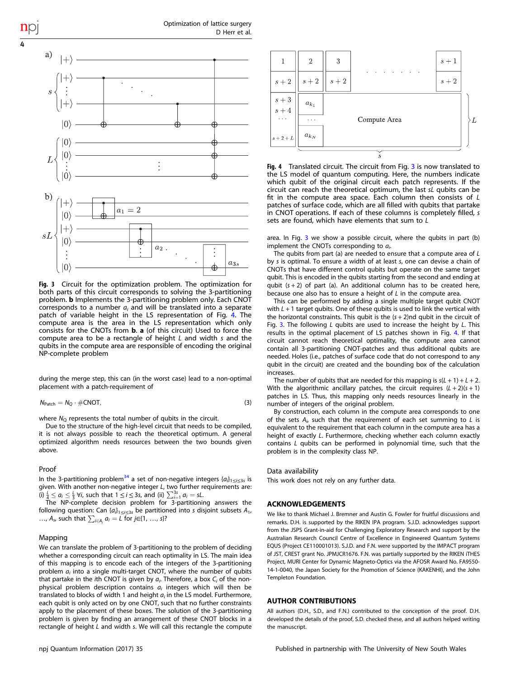<span id="page-3-0"></span>



Fig. 3 Circuit for the optimization problem. The optimization for both parts of this circuit corresponds to solving the 3-partitioning problem. b Implements the 3-partitioning problem only. Each CNOT corresponds to a number  $a_i$  and will be translated into a separate patch of variable height in the LS representation of Fig. 4. The compute area is the area in the LS representation which only consists for the CNOTs from b. a (of this circuit) Used to force the compute area to be a rectangle of height  *and width*  $*s*$  *and the* qubits in the compute area are responsible of encoding the original NP-complete problem

during the merge step, this can (in the worst case) lead to a non-optimal placement with a patch-requirement of

$$
N_{\text{Patch}} = N_Q \cdot \text{\#CNOT},\tag{3}
$$

where  $N_{\Omega}$  represents the total number of qubits in the circuit.

Due to the structure of the high-level circuit that needs to be compiled, it is not always possible to reach the theoretical optimum. A general optimized algorithm needs resources between the two bounds given above.

### Proof

In the 3-partitioning problem<sup>34</sup> a set of non-negative integers  $\{a_i\}_{1\leq i\leq 3s}$  is given. With another non-negative integer L, two further requirements are: (i)  $\frac{1}{4} \le a_i \le \frac{1}{3}$  Vi, such that  $1 \le i \le 3s$ , and (ii)  $\sum_{i=1}^{3s} a_i = sL$ .<br>The NP-complete decision problem for 3-partitioning answers the

following question: Can  $\{a_i\}_{1\leq i\leq 3s}$  be partitioned into s disjoint subsets  $A_1$ ,  $...,$   $A_s$ , such that  $\sum_{i\in A_j}a_i = L$  for  $j\in\{1,\,...,\,s\}$ ?

### Mapping

We can translate the problem of 3-partitioning to the problem of deciding whether a corresponding circuit can reach optimality in LS. The main idea of this mapping is to encode each of the integers of the 3-partitioning problem  $a_i$  into a single multi-target CNOT, where the number of qubits that partake in the *i*th CNOT is given by  $a_i$ . Therefore, a box  $C_i$  of the nonphysical problem description contains  $a_i$  integers which will then be translated to blocks of width 1 and height  $a_i$  in the LS model. Furthermore, each qubit is only acted on by one CNOT, such that no further constraints apply to the placement of these boxes. The solution of the 3-partitioning problem is given by finding an arrangement of these CNOT blocks in a rectangle of height L and width s. We will call this rectangle the compute



Fig. 4 Translated circuit. The circuit from Fig. 3 is now translated to the LS model of quantum computing. Here, the numbers indicate which qubit of the original circuit each patch represents. If the circuit can reach the theoretical optimum, the last sL qubits can be fit in the compute area space. Each column then consists of L patches of surface code, which are all filled with qubits that partake in CNOT operations. If each of these columns is completely filled, s sets are found, which have elements that sum to L

area. In Fig.  $3$  we show a possible circuit, where the qubits in part (b) implement the CNOTs corresponding to  $a_i$ . .

The qubits from part (a) are needed to ensure that a compute area of L by s is optimal. To ensure a width of at least s, one can devise a chain of CNOTs that have different control qubits but operate on the same target qubit. This is encoded in the qubits starting from the second and ending at qubit  $(s + 2)$  of part (a). An additional column has to be created here, because one also has to ensure a height of L in the compute area.

This can be performed by adding a single multiple target qubit CNOT with  $L + 1$  target qubits. One of these qubits is used to link the vertical with the horizontal constraints. This qubit is the  $(s + 2)$ nd qubit in the circuit of Fig. 3. The following L qubits are used to increase the height by L. This results in the optimal placement of LS patches shown in Fig. 4. If that circuit cannot reach theoretical optimality, the compute area cannot contain all 3-partitioning CNOT-patches and thus additional qubits are needed. Holes (i.e., patches of surface code that do not correspond to any qubit in the circuit) are created and the bounding box of the calculation increases.

The number of qubits that are needed for this mapping is  $s(L + 1) + L + 2$ . With the algorithmic ancillary patches, the circuit requires  $(L + 2)(s + 1)$ patches in LS. Thus, this mapping only needs resources linearly in the number of integers of the original problem.

By construction, each column in the compute area corresponds to one of the sets  $A_{i}$ , such that the requirement of each set summing to  $L$  is equivalent to the requirement that each column in the compute area has a height of exactly L. Furthermore, checking whether each column exactly contains L qubits can be performed in polynomial time, such that the problem is in the complexity class NP.

### Data availability

This work does not rely on any further data.

We like to thank Michael J. Bremner and Austin G. Fowler for fruitful discussions and remarks. D.H. is supported by the RIKEN IPA program. S.J.D. acknowledges support from the JSPS Grant-in-aid for Challenging Exploratory Research and support by the Australian Research Council Centre of Excellence in Engineered Quantum Systems EQUS (Project CE110001013). S.J.D. and F.N. were supported by the IMPACT program of JST, CREST grant No. JPMJCR1676. F.N. was partially supported by the RIKEN iTHES Project, MURI Center for Dynamic Magneto-Optics via the AFOSR Award No. FA9550- 14-1-0040, the Japan Society for the Promotion of Science (KAKENHI), and the John Templeton Foundation.

### **AUTHOR CONTRIBUTIONS**

All authors (D.H., S.D., and F.N.) contributed to the conception of the proof. D.H. developed the details of the proof, S.D. checked these, and all authors helped writing the manuscript.